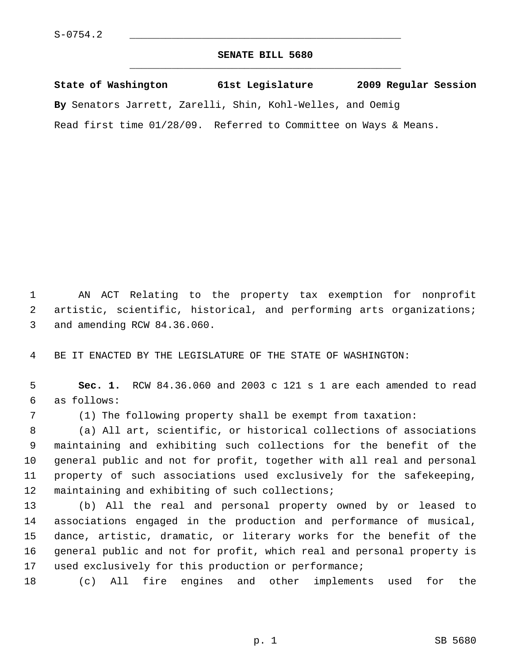## **SENATE BILL 5680** \_\_\_\_\_\_\_\_\_\_\_\_\_\_\_\_\_\_\_\_\_\_\_\_\_\_\_\_\_\_\_\_\_\_\_\_\_\_\_\_\_\_\_\_\_

**State of Washington 61st Legislature 2009 Regular Session By** Senators Jarrett, Zarelli, Shin, Kohl-Welles, and Oemig Read first time 01/28/09. Referred to Committee on Ways & Means.

 1 AN ACT Relating to the property tax exemption for nonprofit 2 artistic, scientific, historical, and performing arts organizations; 3 and amending RCW 84.36.060.

4 BE IT ENACTED BY THE LEGISLATURE OF THE STATE OF WASHINGTON:

 5 **Sec. 1.** RCW 84.36.060 and 2003 c 121 s 1 are each amended to read 6 as follows:

7 (1) The following property shall be exempt from taxation:

 8 (a) All art, scientific, or historical collections of associations 9 maintaining and exhibiting such collections for the benefit of the 10 general public and not for profit, together with all real and personal 11 property of such associations used exclusively for the safekeeping, 12 maintaining and exhibiting of such collections;

13 (b) All the real and personal property owned by or leased to 14 associations engaged in the production and performance of musical, 15 dance, artistic, dramatic, or literary works for the benefit of the 16 general public and not for profit, which real and personal property is 17 used exclusively for this production or performance;

18 (c) All fire engines and other implements used for the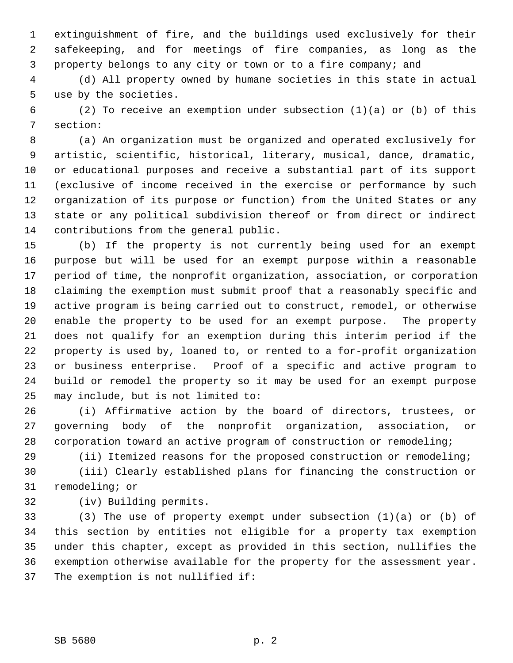1 extinguishment of fire, and the buildings used exclusively for their 2 safekeeping, and for meetings of fire companies, as long as the 3 property belongs to any city or town or to a fire company; and

 4 (d) All property owned by humane societies in this state in actual 5 use by the societies.

 6 (2) To receive an exemption under subsection (1)(a) or (b) of this 7 section:

 8 (a) An organization must be organized and operated exclusively for 9 artistic, scientific, historical, literary, musical, dance, dramatic, 10 or educational purposes and receive a substantial part of its support 11 (exclusive of income received in the exercise or performance by such 12 organization of its purpose or function) from the United States or any 13 state or any political subdivision thereof or from direct or indirect 14 contributions from the general public.

15 (b) If the property is not currently being used for an exempt 16 purpose but will be used for an exempt purpose within a reasonable 17 period of time, the nonprofit organization, association, or corporation 18 claiming the exemption must submit proof that a reasonably specific and 19 active program is being carried out to construct, remodel, or otherwise 20 enable the property to be used for an exempt purpose. The property 21 does not qualify for an exemption during this interim period if the 22 property is used by, loaned to, or rented to a for-profit organization 23 or business enterprise. Proof of a specific and active program to 24 build or remodel the property so it may be used for an exempt purpose 25 may include, but is not limited to:

26 (i) Affirmative action by the board of directors, trustees, or 27 governing body of the nonprofit organization, association, or 28 corporation toward an active program of construction or remodeling;

29 (ii) Itemized reasons for the proposed construction or remodeling;

30 (iii) Clearly established plans for financing the construction or 31 remodeling; or

32 (iv) Building permits.

33 (3) The use of property exempt under subsection (1)(a) or (b) of 34 this section by entities not eligible for a property tax exemption 35 under this chapter, except as provided in this section, nullifies the 36 exemption otherwise available for the property for the assessment year. 37 The exemption is not nullified if: